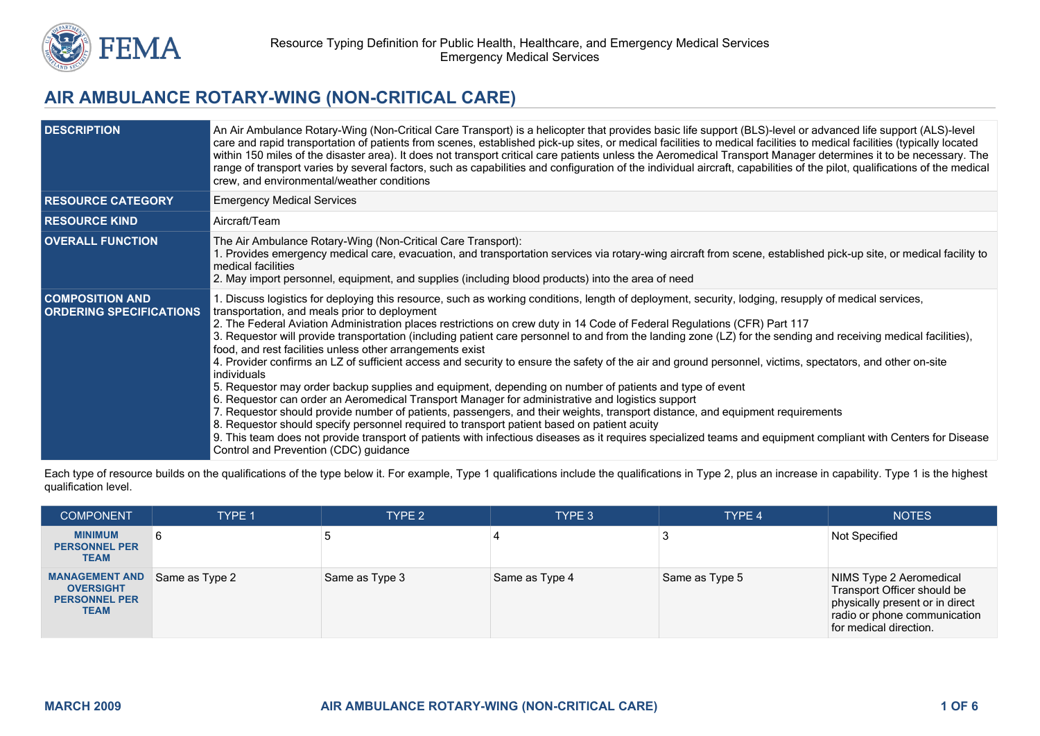

# **AIR AMBULANCE ROTARY-WING (NON-CRITICAL CARE)**

| <b>DESCRIPTION</b>                                       | An Air Ambulance Rotary-Wing (Non-Critical Care Transport) is a helicopter that provides basic life support (BLS)-level or advanced life support (ALS)-level<br>care and rapid transportation of patients from scenes, established pick-up sites, or medical facilities to medical facilities to medical facilities (typically located<br>within 150 miles of the disaster area). It does not transport critical care patients unless the Aeromedical Transport Manager determines it to be necessary. The<br>range of transport varies by several factors, such as capabilities and configuration of the individual aircraft, capabilities of the pilot, qualifications of the medical<br>crew, and environmental/weather conditions                                                                                                                                                                                                                                                                                                                                                                                                                                                                                                                                                                                                                                                                   |
|----------------------------------------------------------|---------------------------------------------------------------------------------------------------------------------------------------------------------------------------------------------------------------------------------------------------------------------------------------------------------------------------------------------------------------------------------------------------------------------------------------------------------------------------------------------------------------------------------------------------------------------------------------------------------------------------------------------------------------------------------------------------------------------------------------------------------------------------------------------------------------------------------------------------------------------------------------------------------------------------------------------------------------------------------------------------------------------------------------------------------------------------------------------------------------------------------------------------------------------------------------------------------------------------------------------------------------------------------------------------------------------------------------------------------------------------------------------------------|
| <b>RESOURCE CATEGORY</b>                                 | <b>Emergency Medical Services</b>                                                                                                                                                                                                                                                                                                                                                                                                                                                                                                                                                                                                                                                                                                                                                                                                                                                                                                                                                                                                                                                                                                                                                                                                                                                                                                                                                                       |
| <b>RESOURCE KIND</b>                                     | Aircraft/Team                                                                                                                                                                                                                                                                                                                                                                                                                                                                                                                                                                                                                                                                                                                                                                                                                                                                                                                                                                                                                                                                                                                                                                                                                                                                                                                                                                                           |
| <b>OVERALL FUNCTION</b>                                  | The Air Ambulance Rotary-Wing (Non-Critical Care Transport):<br>1. Provides emergency medical care, evacuation, and transportation services via rotary-wing aircraft from scene, established pick-up site, or medical facility to<br>medical facilities<br>2. May import personnel, equipment, and supplies (including blood products) into the area of need                                                                                                                                                                                                                                                                                                                                                                                                                                                                                                                                                                                                                                                                                                                                                                                                                                                                                                                                                                                                                                            |
| <b>COMPOSITION AND</b><br><b>ORDERING SPECIFICATIONS</b> | 1. Discuss logistics for deploying this resource, such as working conditions, length of deployment, security, lodging, resupply of medical services,<br>transportation, and meals prior to deployment<br>2. The Federal Aviation Administration places restrictions on crew duty in 14 Code of Federal Regulations (CFR) Part 117<br>3. Requestor will provide transportation (including patient care personnel to and from the landing zone (LZ) for the sending and receiving medical facilities),<br>food, and rest facilities unless other arrangements exist<br>4. Provider confirms an LZ of sufficient access and security to ensure the safety of the air and ground personnel, victims, spectators, and other on-site<br>individuals<br>5. Requestor may order backup supplies and equipment, depending on number of patients and type of event<br>6. Requestor can order an Aeromedical Transport Manager for administrative and logistics support<br>7. Requestor should provide number of patients, passengers, and their weights, transport distance, and equipment requirements<br>8. Requestor should specify personnel required to transport patient based on patient acuity<br>9. This team does not provide transport of patients with infectious diseases as it requires specialized teams and equipment compliant with Centers for Disease<br>Control and Prevention (CDC) guidance |

Each type of resource builds on the qualifications of the type below it. For example, Type 1 qualifications include the qualifications in Type 2, plus an increase in capability. Type 1 is the highest qualification level.

| <b>COMPONENT</b>                                                                 | TYPE 1         | TYPE 2         | TYPE 3         | TYPE 4         | <b>NOTES</b>                                                                                                                                        |
|----------------------------------------------------------------------------------|----------------|----------------|----------------|----------------|-----------------------------------------------------------------------------------------------------------------------------------------------------|
| <b>MINIMUM</b><br><b>PERSONNEL PER</b><br><b>TEAM</b>                            |                |                |                |                | Not Specified                                                                                                                                       |
| <b>MANAGEMENT AND</b><br><b>OVERSIGHT</b><br><b>PERSONNEL PER</b><br><b>TEAM</b> | Same as Type 2 | Same as Type 3 | Same as Type 4 | Same as Type 5 | NIMS Type 2 Aeromedical<br>Transport Officer should be<br>physically present or in direct<br>radio or phone communication<br>for medical direction. |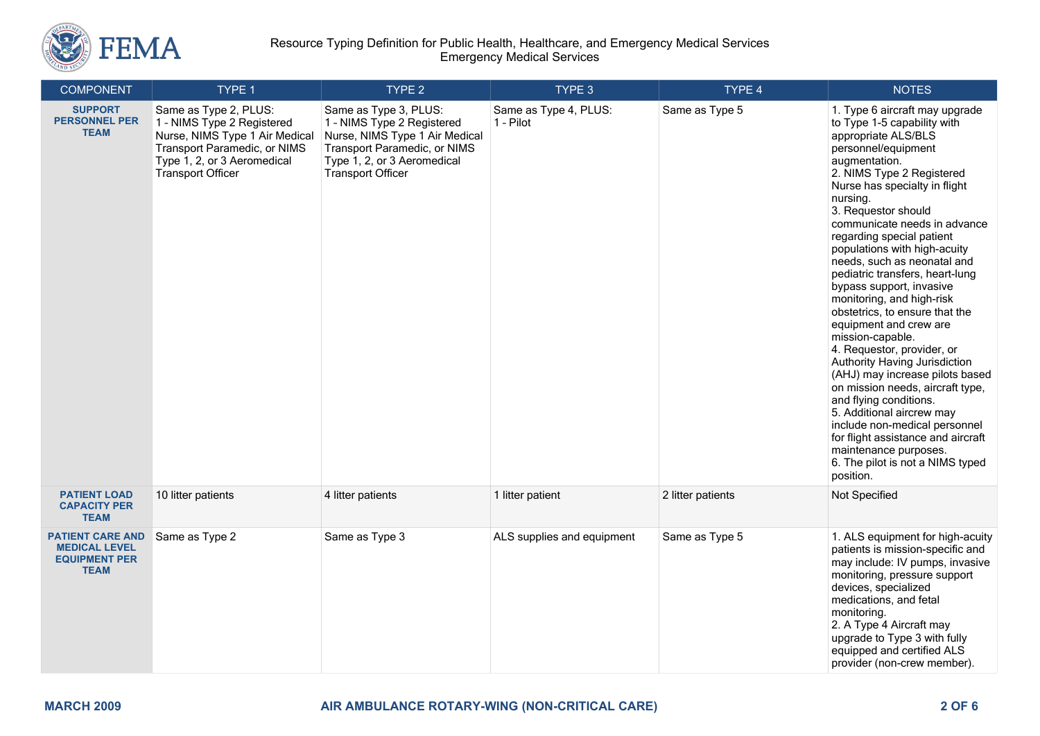

| <b>COMPONENT</b>                                                                       | TYPE 1                                                                                                                                                                           | TYPE 2                                                                                                                                                                           | TYPE 3                             | TYPE 4            | <b>NOTES</b>                                                                                                                                                                                                                                                                                                                                                                                                                                                                                                                                                                                                                                                                                                                                                                                                                                                                        |
|----------------------------------------------------------------------------------------|----------------------------------------------------------------------------------------------------------------------------------------------------------------------------------|----------------------------------------------------------------------------------------------------------------------------------------------------------------------------------|------------------------------------|-------------------|-------------------------------------------------------------------------------------------------------------------------------------------------------------------------------------------------------------------------------------------------------------------------------------------------------------------------------------------------------------------------------------------------------------------------------------------------------------------------------------------------------------------------------------------------------------------------------------------------------------------------------------------------------------------------------------------------------------------------------------------------------------------------------------------------------------------------------------------------------------------------------------|
| <b>SUPPORT</b><br><b>PERSONNEL PER</b><br><b>TEAM</b>                                  | Same as Type 2, PLUS:<br>1 - NIMS Type 2 Registered<br>Nurse, NIMS Type 1 Air Medical<br>Transport Paramedic, or NIMS<br>Type 1, 2, or 3 Aeromedical<br><b>Transport Officer</b> | Same as Type 3, PLUS:<br>1 - NIMS Type 2 Registered<br>Nurse, NIMS Type 1 Air Medical<br>Transport Paramedic, or NIMS<br>Type 1, 2, or 3 Aeromedical<br><b>Transport Officer</b> | Same as Type 4, PLUS:<br>1 - Pilot | Same as Type 5    | 1. Type 6 aircraft may upgrade<br>to Type 1-5 capability with<br>appropriate ALS/BLS<br>personnel/equipment<br>augmentation.<br>2. NIMS Type 2 Registered<br>Nurse has specialty in flight<br>nursing.<br>3. Requestor should<br>communicate needs in advance<br>regarding special patient<br>populations with high-acuity<br>needs, such as neonatal and<br>pediatric transfers, heart-lung<br>bypass support, invasive<br>monitoring, and high-risk<br>obstetrics, to ensure that the<br>equipment and crew are<br>mission-capable.<br>4. Requestor, provider, or<br>Authority Having Jurisdiction<br>(AHJ) may increase pilots based<br>on mission needs, aircraft type,<br>and flying conditions.<br>5. Additional aircrew may<br>include non-medical personnel<br>for flight assistance and aircraft<br>maintenance purposes.<br>6. The pilot is not a NIMS typed<br>position. |
| <b>PATIENT LOAD</b><br><b>CAPACITY PER</b><br><b>TEAM</b>                              | 10 litter patients                                                                                                                                                               | 4 litter patients                                                                                                                                                                | 1 litter patient                   | 2 litter patients | Not Specified                                                                                                                                                                                                                                                                                                                                                                                                                                                                                                                                                                                                                                                                                                                                                                                                                                                                       |
| <b>PATIENT CARE AND</b><br><b>MEDICAL LEVEL</b><br><b>EQUIPMENT PER</b><br><b>TEAM</b> | Same as Type 2                                                                                                                                                                   | Same as Type 3                                                                                                                                                                   | ALS supplies and equipment         | Same as Type 5    | 1. ALS equipment for high-acuity<br>patients is mission-specific and<br>may include: IV pumps, invasive<br>monitoring, pressure support<br>devices, specialized<br>medications, and fetal<br>monitoring.<br>2. A Type 4 Aircraft may<br>upgrade to Type 3 with fully<br>equipped and certified ALS<br>provider (non-crew member).                                                                                                                                                                                                                                                                                                                                                                                                                                                                                                                                                   |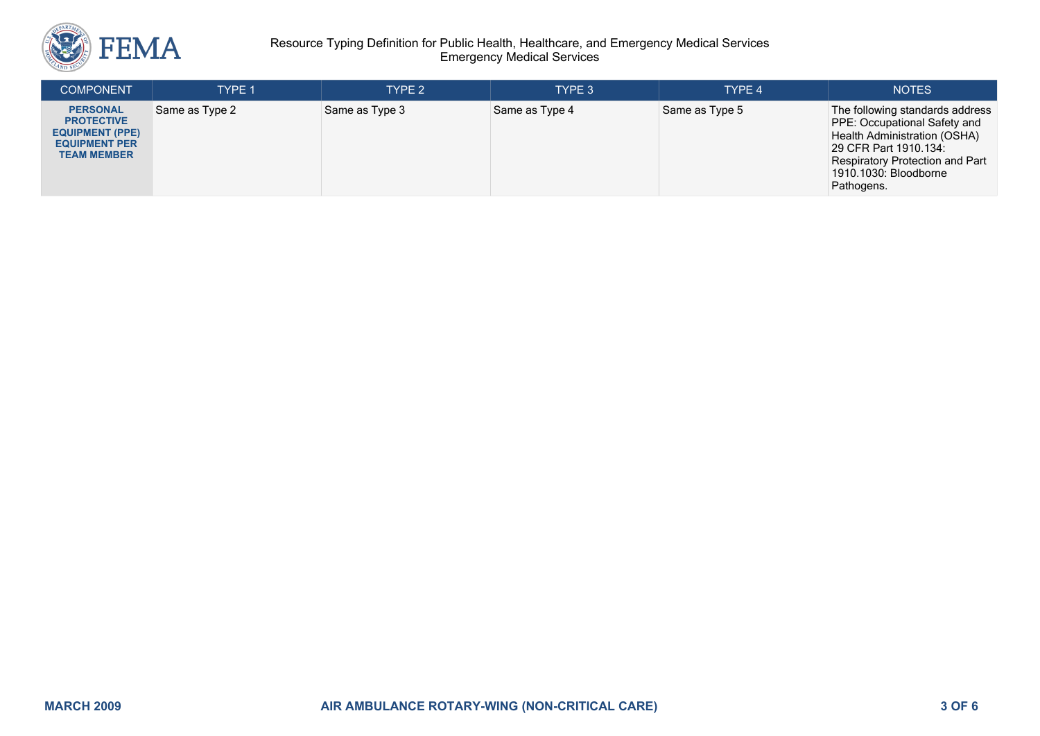

### Resource Typing Definition for Public Health, Healthcare, and Emergency Medical Services Emergency Medical Services

| <b>COMPONENT</b>                                                                                             | <b>TYPE 1</b>  | TYPE 2         | TYPE 3         | TYPE 4         | <b>NOTES</b>                                                                                                                                                                                              |
|--------------------------------------------------------------------------------------------------------------|----------------|----------------|----------------|----------------|-----------------------------------------------------------------------------------------------------------------------------------------------------------------------------------------------------------|
| <b>PERSONAL</b><br><b>PROTECTIVE</b><br><b>EQUIPMENT (PPE)</b><br><b>EQUIPMENT PER</b><br><b>TEAM MEMBER</b> | Same as Type 2 | Same as Type 3 | Same as Type 4 | Same as Type 5 | The following standards address<br>PPE: Occupational Safety and<br>Health Administration (OSHA)<br>29 CFR Part 1910.134:<br><b>Respiratory Protection and Part</b><br>1910.1030: Bloodborne<br>Pathogens. |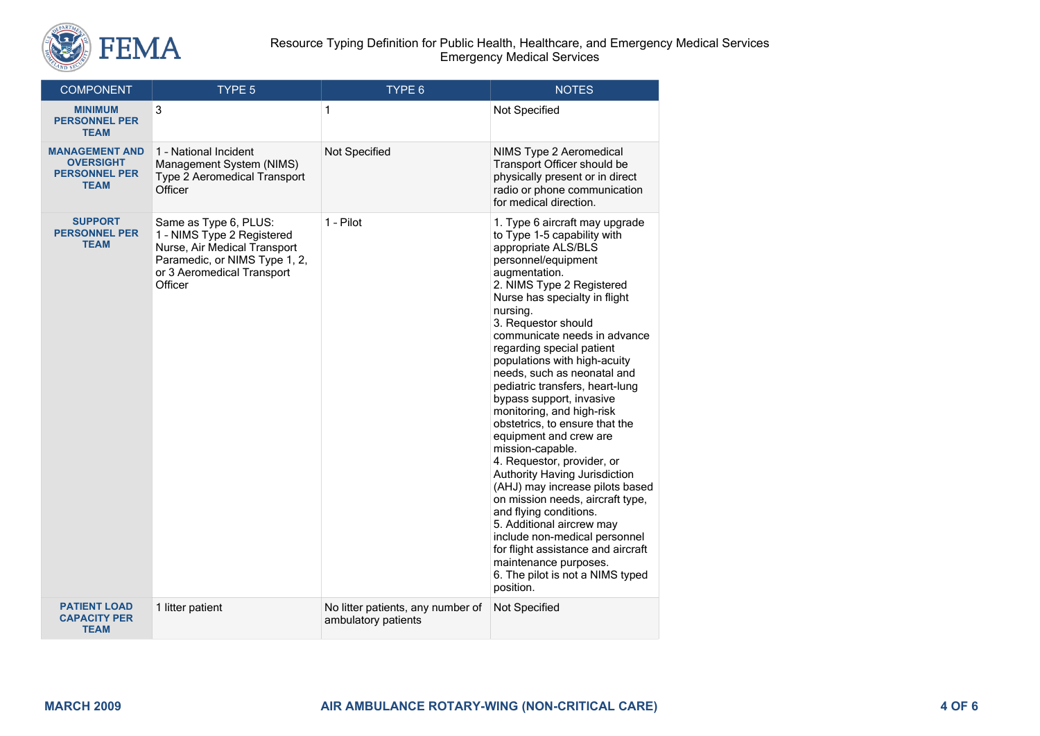

#### Resource Typing Definition for Public Health, Healthcare, and Emergency Medical Services Emergency Medical Services

| <b>COMPONENT</b>                                                                 | TYPE 5                                                                                                                                                        | TYPE 6                                                   | <b>NOTES</b>                                                                                                                                                                                                                                                                                                                                                                                                                                                                                                                                                                                                                                                                                                                                                                                                                                                                        |
|----------------------------------------------------------------------------------|---------------------------------------------------------------------------------------------------------------------------------------------------------------|----------------------------------------------------------|-------------------------------------------------------------------------------------------------------------------------------------------------------------------------------------------------------------------------------------------------------------------------------------------------------------------------------------------------------------------------------------------------------------------------------------------------------------------------------------------------------------------------------------------------------------------------------------------------------------------------------------------------------------------------------------------------------------------------------------------------------------------------------------------------------------------------------------------------------------------------------------|
| <b>MINIMUM</b><br><b>PERSONNEL PER</b><br><b>TEAM</b>                            | 3                                                                                                                                                             | 1                                                        | Not Specified                                                                                                                                                                                                                                                                                                                                                                                                                                                                                                                                                                                                                                                                                                                                                                                                                                                                       |
| <b>MANAGEMENT AND</b><br><b>OVERSIGHT</b><br><b>PERSONNEL PER</b><br><b>TEAM</b> | 1 - National Incident<br>Management System (NIMS)<br><b>Type 2 Aeromedical Transport</b><br>Officer                                                           | Not Specified                                            | NIMS Type 2 Aeromedical<br>Transport Officer should be<br>physically present or in direct<br>radio or phone communication<br>for medical direction.                                                                                                                                                                                                                                                                                                                                                                                                                                                                                                                                                                                                                                                                                                                                 |
| <b>SUPPORT</b><br><b>PERSONNEL PER</b><br><b>TEAM</b>                            | Same as Type 6, PLUS:<br>1 - NIMS Type 2 Registered<br>Nurse, Air Medical Transport<br>Paramedic, or NIMS Type 1, 2,<br>or 3 Aeromedical Transport<br>Officer | 1 - Pilot                                                | 1. Type 6 aircraft may upgrade<br>to Type 1-5 capability with<br>appropriate ALS/BLS<br>personnel/equipment<br>augmentation.<br>2. NIMS Type 2 Registered<br>Nurse has specialty in flight<br>nursing.<br>3. Requestor should<br>communicate needs in advance<br>regarding special patient<br>populations with high-acuity<br>needs, such as neonatal and<br>pediatric transfers, heart-lung<br>bypass support, invasive<br>monitoring, and high-risk<br>obstetrics, to ensure that the<br>equipment and crew are<br>mission-capable.<br>4. Requestor, provider, or<br>Authority Having Jurisdiction<br>(AHJ) may increase pilots based<br>on mission needs, aircraft type,<br>and flying conditions.<br>5. Additional aircrew may<br>include non-medical personnel<br>for flight assistance and aircraft<br>maintenance purposes.<br>6. The pilot is not a NIMS typed<br>position. |
| <b>PATIENT LOAD</b><br><b>CAPACITY PER</b><br><b>TEAM</b>                        | 1 litter patient                                                                                                                                              | No litter patients, any number of<br>ambulatory patients | Not Specified                                                                                                                                                                                                                                                                                                                                                                                                                                                                                                                                                                                                                                                                                                                                                                                                                                                                       |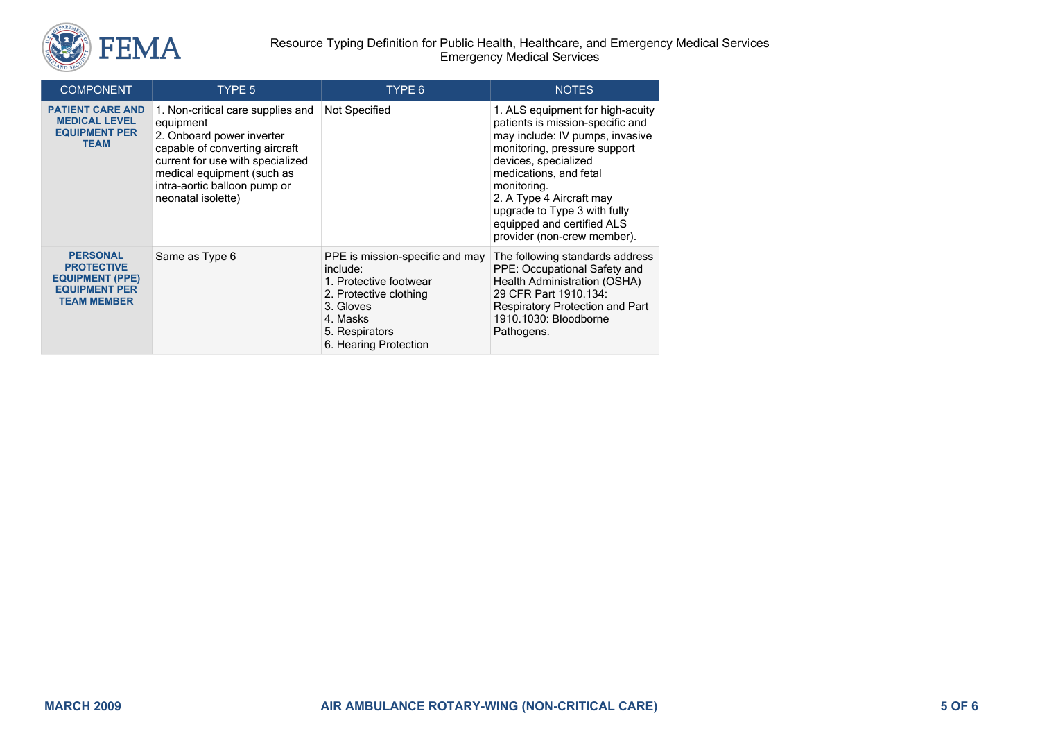

| <b>COMPONENT</b>                                                                                             | TYPE 5                                                                                                                                                                                                                                | TYPE 6                                                                                                                                                              | <b>NOTES</b>                                                                                                                                                                                                                                                                                                                      |
|--------------------------------------------------------------------------------------------------------------|---------------------------------------------------------------------------------------------------------------------------------------------------------------------------------------------------------------------------------------|---------------------------------------------------------------------------------------------------------------------------------------------------------------------|-----------------------------------------------------------------------------------------------------------------------------------------------------------------------------------------------------------------------------------------------------------------------------------------------------------------------------------|
| <b>PATIENT CARE AND</b><br><b>MEDICAL LEVEL</b><br><b>EQUIPMENT PER</b><br><b>TEAM</b>                       | 1. Non-critical care supplies and<br>equipment<br>2. Onboard power inverter<br>capable of converting aircraft<br>current for use with specialized<br>medical equipment (such as<br>intra-aortic balloon pump or<br>neonatal isolette) | Not Specified                                                                                                                                                       | 1. ALS equipment for high-acuity<br>patients is mission-specific and<br>may include: IV pumps, invasive<br>monitoring, pressure support<br>devices, specialized<br>medications, and fetal<br>monitoring.<br>2. A Type 4 Aircraft may<br>upgrade to Type 3 with fully<br>equipped and certified ALS<br>provider (non-crew member). |
| <b>PERSONAL</b><br><b>PROTECTIVE</b><br><b>EQUIPMENT (PPE)</b><br><b>EQUIPMENT PER</b><br><b>TEAM MEMBER</b> | Same as Type 6                                                                                                                                                                                                                        | PPE is mission-specific and may<br>include:<br>1. Protective footwear<br>2. Protective clothing<br>3. Gloves<br>4. Masks<br>5. Respirators<br>6. Hearing Protection | The following standards address<br>PPE: Occupational Safety and<br>Health Administration (OSHA)<br>29 CFR Part 1910.134:<br><b>Respiratory Protection and Part</b><br>1910.1030: Bloodborne<br>Pathogens.                                                                                                                         |